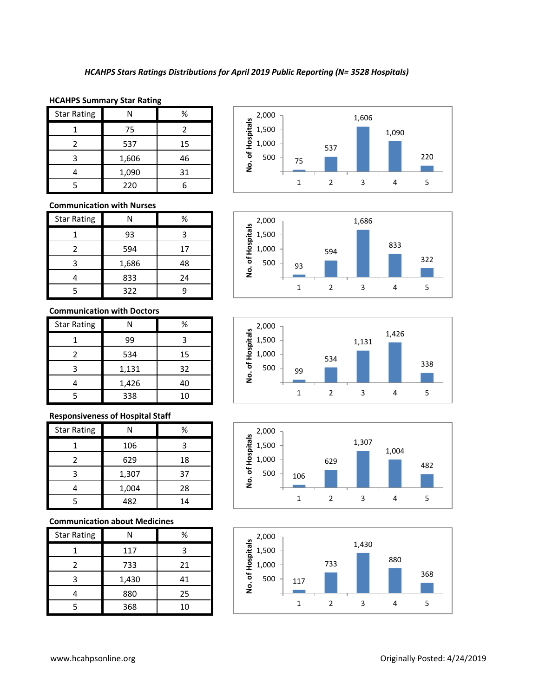### **HCAHPS Summary Star Rating**

| <b>Star Rating</b> |       | %  |
|--------------------|-------|----|
|                    | 75    |    |
|                    | 537   | 15 |
| 3                  | 1,606 | 46 |
|                    | 1,090 | 31 |
|                    | 220   |    |

## **Communication with Nurses**

| <b>Star Rating</b> | N     | %  |
|--------------------|-------|----|
|                    | 93    |    |
| 2                  | 594   | 17 |
| 3                  | 1,686 | 48 |
|                    | 833   | 24 |
|                    | 322   |    |

#### **Communication with Doctors**

| <b>Star Rating</b> |       | %  |
|--------------------|-------|----|
|                    | 99    | 3  |
|                    | 534   | 15 |
| 3                  | 1,131 | 32 |
|                    | 1,426 | 40 |
|                    | 338   | 10 |

## **Responsiveness of Hospital Staff**

| <b>Star Rating</b> | N     | ℅  |
|--------------------|-------|----|
|                    | 106   |    |
|                    | 629   | 18 |
| 3                  | 1,307 | 37 |
|                    | 1,004 | 28 |
|                    | 482   | 14 |

## **Communication about Medicines**

| <b>Star Rating</b> | N     | ℅  |
|--------------------|-------|----|
|                    | 117   | ς  |
|                    | 733   | 21 |
| ς                  | 1,430 | 41 |
|                    | 880   | 25 |
|                    | 368   | 10 |









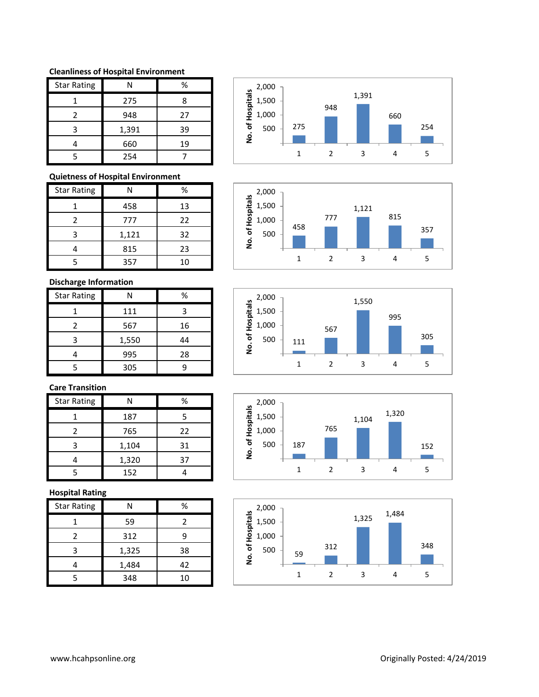### **Cleanliness of Hospital Environment**

| <b>Star Rating</b> | N     | %  |
|--------------------|-------|----|
|                    | 275   | Я  |
| 2                  | 948   | 27 |
| ੨                  | 1,391 | 39 |
|                    | 660   | 19 |
|                    | 254   |    |

# **Quietness of Hospital Environment**

| <b>Star Rating</b> | N     | ℅  |
|--------------------|-------|----|
|                    | 458   | 13 |
| 2                  | 777   | 22 |
| ς                  | 1,121 | 32 |
|                    | 815   | 23 |
|                    | 357   | 10 |

# **Discharge Information**

| <b>Star Rating</b> |       | ℅  |
|--------------------|-------|----|
|                    | 111   | З  |
| 2                  | 567   | 16 |
| 3                  | 1,550 | 44 |
|                    | 995   | 28 |
|                    | 305   |    |

# **Care Transition**

| <b>Star Rating</b> |       | %  |
|--------------------|-------|----|
|                    | 187   | 5  |
| 2                  | 765   | 22 |
|                    | 1,104 | 31 |
|                    | 1,320 | 37 |
|                    | 152   |    |

## **Hospital Rating**

| <b>Star Rating</b> | Ν     | ℅  |
|--------------------|-------|----|
|                    | 59    |    |
| 2                  | 312   | q  |
| 3                  | 1,325 | 38 |
|                    | 1,484 | 42 |
| 5                  | 348   | 10 |